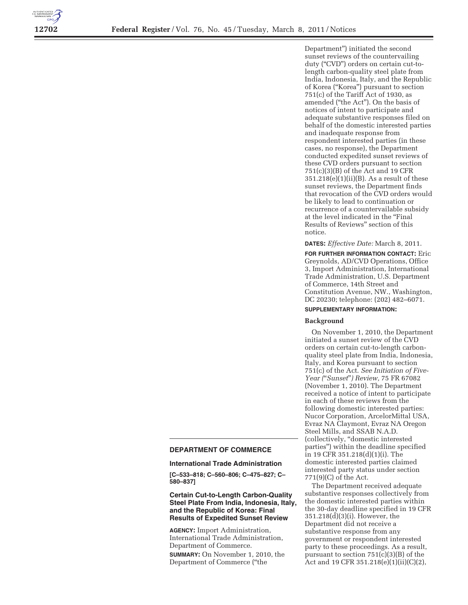

Department'') initiated the second sunset reviews of the countervailing duty (''CVD'') orders on certain cut-tolength carbon-quality steel plate from India, Indonesia, Italy, and the Republic of Korea (''Korea'') pursuant to section  $751(c)$  of the Tariff Act of 1930, as amended (''the Act''). On the basis of notices of intent to participate and adequate substantive responses filed on behalf of the domestic interested parties and inadequate response from respondent interested parties (in these cases, no response), the Department conducted expedited sunset reviews of these CVD orders pursuant to section 751(c)(3)(B) of the Act and 19 CFR  $351.218(e)(1)(ii)(B)$ . As a result of these sunset reviews, the Department finds that revocation of the CVD orders would be likely to lead to continuation or recurrence of a countervailable subsidy at the level indicated in the ''Final Results of Reviews'' section of this notice.

### **DATES:** *Effective Date:* March 8, 2011.

**FOR FURTHER INFORMATION CONTACT:** Eric Greynolds, AD/CVD Operations, Office 3, Import Administration, International Trade Administration, U.S. Department of Commerce, 14th Street and Constitution Avenue, NW., Washington, DC 20230; telephone: (202) 482–6071.

## **SUPPLEMENTARY INFORMATION:**

## **Background**

On November 1, 2010, the Department initiated a sunset review of the CVD orders on certain cut-to-length carbonquality steel plate from India, Indonesia, Italy, and Korea pursuant to section 751(c) of the Act. *See Initiation of Five-Year (*''*Sunset*''*) Review,* 75 FR 67082 (November 1, 2010). The Department received a notice of intent to participate in each of these reviews from the following domestic interested parties: Nucor Corporation, ArcelorMittal USA, Evraz NA Claymont, Evraz NA Oregon Steel Mills, and SSAB N.A.D. (collectively, ''domestic interested parties'') within the deadline specified in 19 CFR 351.218(d)(1)(i). The domestic interested parties claimed interested party status under section 771(9)(C) of the Act.

The Department received adequate substantive responses collectively from the domestic interested parties within the 30-day deadline specified in 19 CFR 351.218(d)(3)(i). However, the Department did not receive a substantive response from any government or respondent interested party to these proceedings. As a result, pursuant to section 751(c)(3)(B) of the Act and 19 CFR 351.218(e)(1)(ii)(C)(2),

### **DEPARTMENT OF COMMERCE**

#### **International Trade Administration**

**[C–533–818; C–560–806; C–475–827; C– 580–837]** 

# **Certain Cut-to-Length Carbon-Quality Steel Plate From India, Indonesia, Italy, and the Republic of Korea: Final Results of Expedited Sunset Review**

**AGENCY:** Import Administration, International Trade Administration, Department of Commerce.

**SUMMARY:** On November 1, 2010, the Department of Commerce (''the